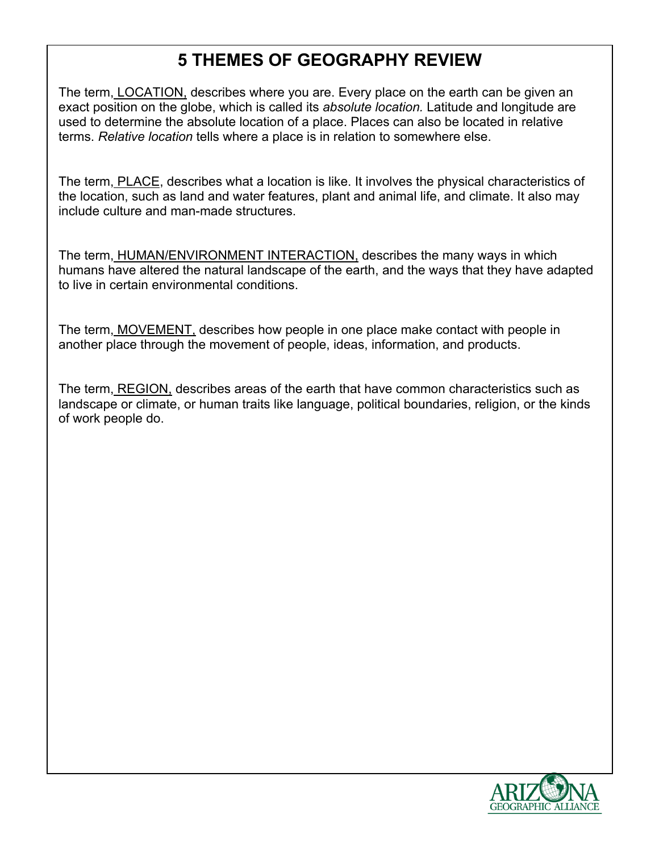## **5 THEMES OF GEOGRAPHY REVIEW**

The term, LOCATION, describes where you are. Every place on the earth can be given an exact position on the globe, which is called its *absolute location.* Latitude and longitude are used to determine the absolute location of a place. Places can also be located in relative terms. *Relative location* tells where a place is in relation to somewhere else.

The term, PLACE, describes what a location is like. It involves the physical characteristics of the location, such as land and water features, plant and animal life, and climate. It also may include culture and man-made structures.

The term, HUMAN/ENVIRONMENT INTERACTION, describes the many ways in which humans have altered the natural landscape of the earth, and the ways that they have adapted to live in certain environmental conditions.

The term, MOVEMENT, describes how people in one place make contact with people in another place through the movement of people, ideas, information, and products.

The term, REGION, describes areas of the earth that have common characteristics such as landscape or climate, or human traits like language, political boundaries, religion, or the kinds of work people do.

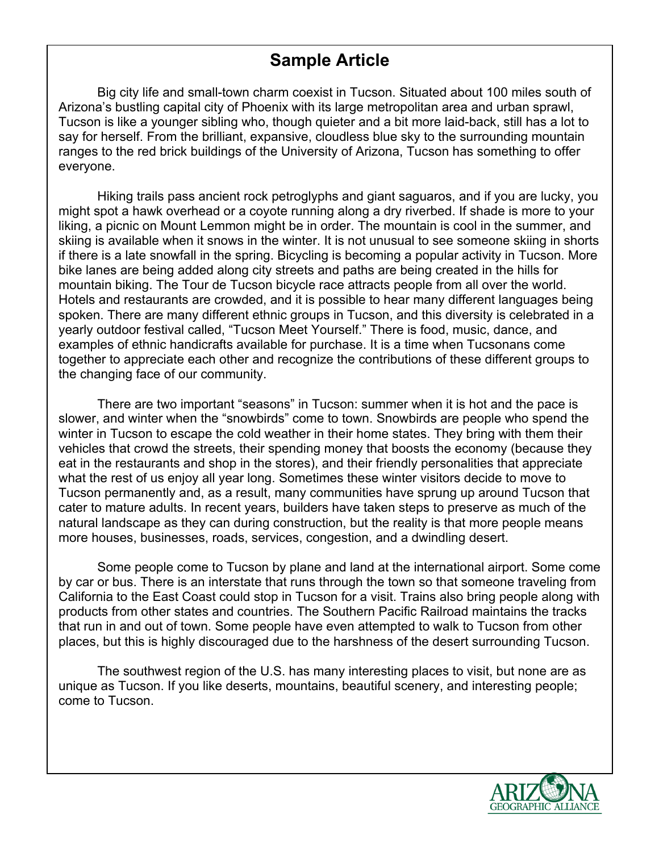## **Sample Article**

Big city life and small-town charm coexist in Tucson. Situated about 100 miles south of Arizona's bustling capital city of Phoenix with its large metropolitan area and urban sprawl, Tucson is like a younger sibling who, though quieter and a bit more laid-back, still has a lot to say for herself. From the brilliant, expansive, cloudless blue sky to the surrounding mountain ranges to the red brick buildings of the University of Arizona, Tucson has something to offer everyone.

Hiking trails pass ancient rock petroglyphs and giant saguaros, and if you are lucky, you might spot a hawk overhead or a coyote running along a dry riverbed. If shade is more to your liking, a picnic on Mount Lemmon might be in order. The mountain is cool in the summer, and skiing is available when it snows in the winter. It is not unusual to see someone skiing in shorts if there is a late snowfall in the spring. Bicycling is becoming a popular activity in Tucson. More bike lanes are being added along city streets and paths are being created in the hills for mountain biking. The Tour de Tucson bicycle race attracts people from all over the world. Hotels and restaurants are crowded, and it is possible to hear many different languages being spoken. There are many different ethnic groups in Tucson, and this diversity is celebrated in a yearly outdoor festival called, "Tucson Meet Yourself." There is food, music, dance, and examples of ethnic handicrafts available for purchase. It is a time when Tucsonans come together to appreciate each other and recognize the contributions of these different groups to the changing face of our community.

There are two important "seasons" in Tucson: summer when it is hot and the pace is slower, and winter when the "snowbirds" come to town. Snowbirds are people who spend the winter in Tucson to escape the cold weather in their home states. They bring with them their vehicles that crowd the streets, their spending money that boosts the economy (because they eat in the restaurants and shop in the stores), and their friendly personalities that appreciate what the rest of us enjoy all year long. Sometimes these winter visitors decide to move to Tucson permanently and, as a result, many communities have sprung up around Tucson that cater to mature adults. In recent years, builders have taken steps to preserve as much of the natural landscape as they can during construction, but the reality is that more people means more houses, businesses, roads, services, congestion, and a dwindling desert.

Some people come to Tucson by plane and land at the international airport. Some come by car or bus. There is an interstate that runs through the town so that someone traveling from California to the East Coast could stop in Tucson for a visit. Trains also bring people along with products from other states and countries. The Southern Pacific Railroad maintains the tracks that run in and out of town. Some people have even attempted to walk to Tucson from other places, but this is highly discouraged due to the harshness of the desert surrounding Tucson.

The southwest region of the U.S. has many interesting places to visit, but none are as unique as Tucson. If you like deserts, mountains, beautiful scenery, and interesting people; come to Tucson.

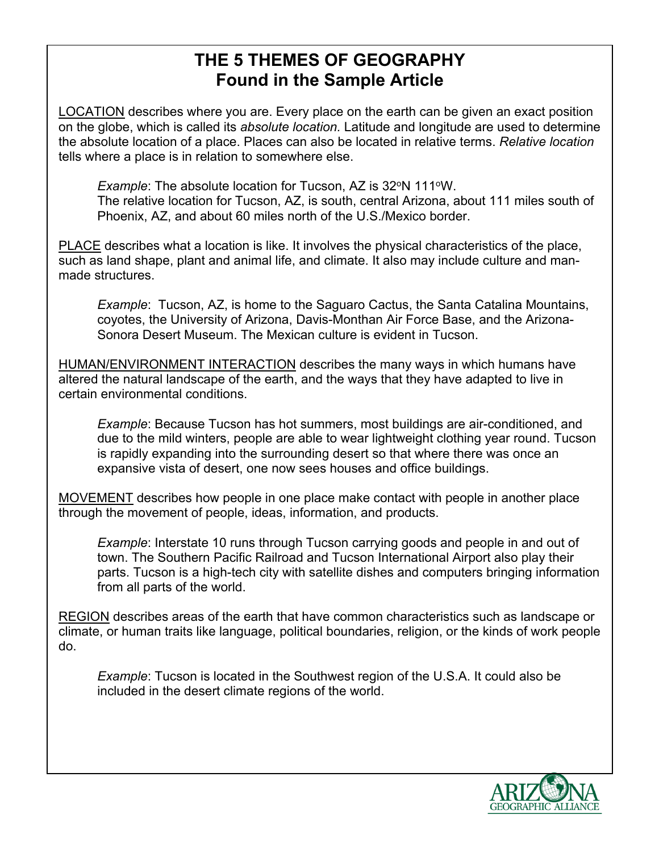## **THE 5 THEMES OF GEOGRAPHY Found in the Sample Article**

LOCATION describes where you are. Every place on the earth can be given an exact position on the globe, which is called its *absolute location.* Latitude and longitude are used to determine the absolute location of a place. Places can also be located in relative terms. *Relative location* tells where a place is in relation to somewhere else.

*Example*: The absolute location for Tucson, AZ is 32<sup>o</sup>N 111<sup>o</sup>W. The relative location for Tucson, AZ, is south, central Arizona, about 111 miles south of Phoenix, AZ, and about 60 miles north of the U.S./Mexico border.

PLACE describes what a location is like. It involves the physical characteristics of the place, such as land shape, plant and animal life, and climate. It also may include culture and manmade structures.

*Example*: Tucson, AZ, is home to the Saguaro Cactus, the Santa Catalina Mountains, coyotes, the University of Arizona, Davis-Monthan Air Force Base, and the Arizona-Sonora Desert Museum. The Mexican culture is evident in Tucson.

HUMAN/ENVIRONMENT INTERACTION describes the many ways in which humans have altered the natural landscape of the earth, and the ways that they have adapted to live in certain environmental conditions.

*Example*: Because Tucson has hot summers, most buildings are air-conditioned, and due to the mild winters, people are able to wear lightweight clothing year round. Tucson is rapidly expanding into the surrounding desert so that where there was once an expansive vista of desert, one now sees houses and office buildings.

MOVEMENT describes how people in one place make contact with people in another place through the movement of people, ideas, information, and products.

*Example*: Interstate 10 runs through Tucson carrying goods and people in and out of town. The Southern Pacific Railroad and Tucson International Airport also play their parts. Tucson is a high-tech city with satellite dishes and computers bringing information from all parts of the world.

REGION describes areas of the earth that have common characteristics such as landscape or climate, or human traits like language, political boundaries, religion, or the kinds of work people do.

*Example*: Tucson is located in the Southwest region of the U.S.A. It could also be included in the desert climate regions of the world.